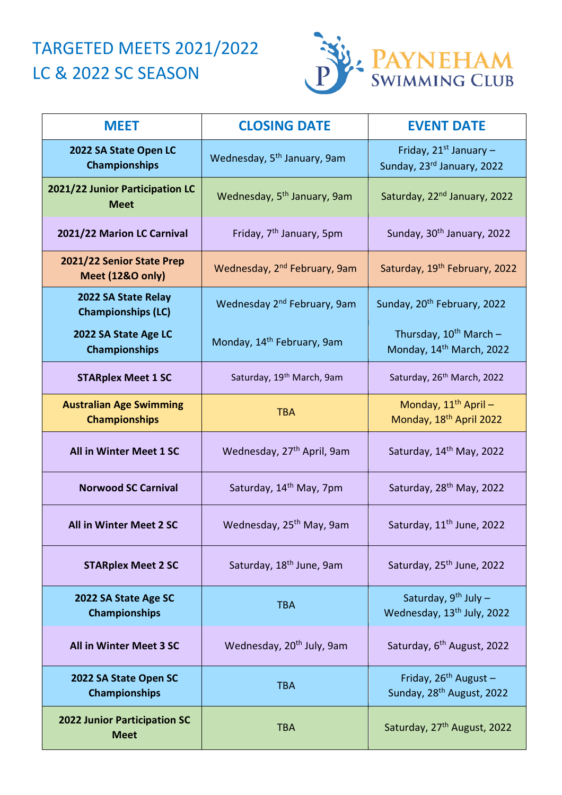## TARGETED MEETS 2021/2022 LC & 2022 SC SEASON



| <b>MEET</b>                                            | <b>CLOSING DATE</b>                      | <b>EVENT DATE</b>                                                   |
|--------------------------------------------------------|------------------------------------------|---------------------------------------------------------------------|
| 2022 SA State Open LC<br><b>Championships</b>          | Wednesday, 5 <sup>th</sup> January, 9am  | Friday, $21^{st}$ January -<br>Sunday, 23rd January, 2022           |
| 2021/22 Junior Participation LC<br><b>Meet</b>         | Wednesday, 5 <sup>th</sup> January, 9am  | Saturday, 22 <sup>nd</sup> January, 2022                            |
| 2021/22 Marion LC Carnival                             | Friday, 7 <sup>th</sup> January, 5pm     | Sunday, 30 <sup>th</sup> January, 2022                              |
| 2021/22 Senior State Prep<br>Meet (12&O only)          | Wednesday, 2 <sup>nd</sup> February, 9am | Saturday, 19 <sup>th</sup> February, 2022                           |
| 2022 SA State Relay<br><b>Championships (LC)</b>       | Wednesday 2 <sup>nd</sup> February, 9am  | Sunday, 20 <sup>th</sup> February, 2022                             |
| 2022 SA State Age LC<br><b>Championships</b>           | Monday, 14 <sup>th</sup> February, 9am   | Thursday, $10^{th}$ March -<br>Monday, 14 <sup>th</sup> March, 2022 |
| <b>STARplex Meet 1 SC</b>                              | Saturday, 19 <sup>th</sup> March, 9am    | Saturday, 26 <sup>th</sup> March, 2022                              |
| <b>Australian Age Swimming</b><br><b>Championships</b> | <b>TBA</b>                               | Monday, $11^{th}$ April -<br>Monday, 18 <sup>th</sup> April 2022    |
| All in Winter Meet 1 SC                                | Wednesday, 27 <sup>th</sup> April, 9am   | Saturday, 14th May, 2022                                            |
| <b>Norwood SC Carnival</b>                             | Saturday, 14 <sup>th</sup> May, 7pm      | Saturday, 28 <sup>th</sup> May, 2022                                |
| All in Winter Meet 2 SC                                | Wednesday, 25 <sup>th</sup> May, 9am     | Saturday, 11 <sup>th</sup> June, 2022                               |
| <b>STARplex Meet 2 SC</b>                              | Saturday, 18 <sup>th</sup> June, 9am     | Saturday, 25 <sup>th</sup> June, 2022                               |
| 2022 SA State Age SC<br><b>Championships</b>           | <b>TBA</b>                               | Saturday, $9^{th}$ July -<br>Wednesday, 13 <sup>th</sup> July, 2022 |
| All in Winter Meet 3 SC                                | Wednesday, 20 <sup>th</sup> July, 9am    | Saturday, 6 <sup>th</sup> August, 2022                              |
| 2022 SA State Open SC<br><b>Championships</b>          | <b>TBA</b>                               | Friday, $26^{th}$ August -<br>Sunday, 28 <sup>th</sup> August, 2022 |
| <b>2022 Junior Participation SC</b><br><b>Meet</b>     | <b>TBA</b>                               | Saturday, 27 <sup>th</sup> August, 2022                             |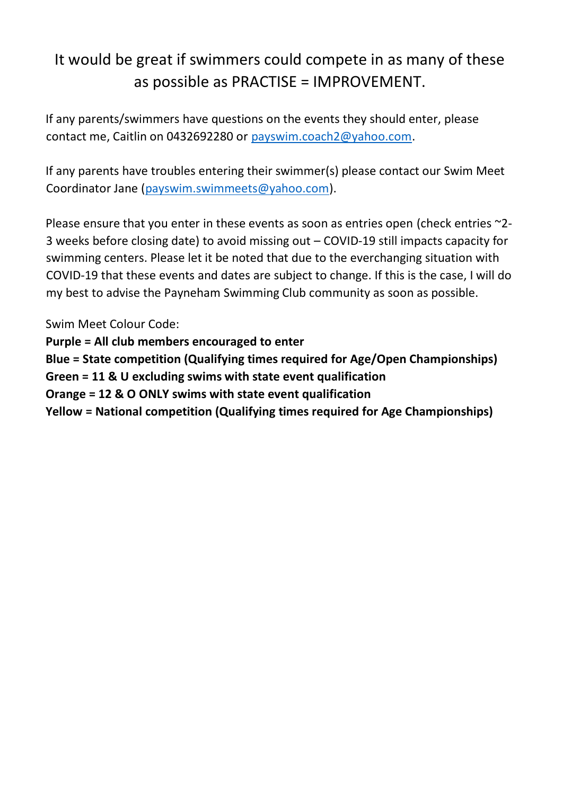## It would be great if swimmers could compete in as many of these as possible as PRACTISE = IMPROVEMENT.

If any parents/swimmers have questions on the events they should enter, please contact me, Caitlin on 0432692280 or payswim.coach2@yahoo.com.

If any parents have troubles entering their swimmer(s) please contact our Swim Meet Coordinator Jane [\(payswim.swimmeets@yahoo.com\)](mailto:payswim.swimmeets@yahoo.com).

Please ensure that you enter in these events as soon as entries open (check entries ~2-3 weeks before closing date) to avoid missing out – COVID-19 still impacts capacity for swimming centers. Please let it be noted that due to the everchanging situation with COVID-19 that these events and dates are subject to change. If this is the case, I will do my best to advise the Payneham Swimming Club community as soon as possible.

Swim Meet Colour Code:

**Purple = All club members encouraged to enter** 

**Blue = State competition (Qualifying times required for Age/Open Championships)** 

**Green = 11 & U excluding swims with state event qualification**

**Orange = 12 & O ONLY swims with state event qualification**

**Yellow = National competition (Qualifying times required for Age Championships)**